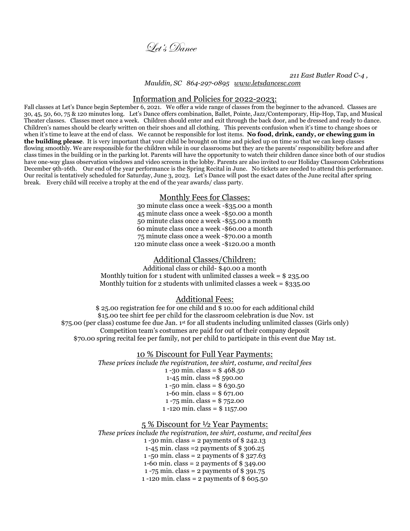

 *211 East Butler Road C-4 , Mauldin, SC 864-297-0895 [www.letsdancesc.com](http://www.letsdancesc.com/)*

#### Information and Policies for 2022-2023:

Fall classes at Let's Dance begin September 6, 2021. We offer a wide range of classes from the beginner to the advanced. Classes are 30, 45, 50, 60, 75 & 120 minutes long. Let's Dance offers combination, Ballet, Pointe, Jazz/Contemporary, Hip-Hop, Tap, and Musical Theater classes. Classes meet once a week. Children should enter and exit through the back door, and be dressed and ready to dance. Children's names should be clearly written on their shoes and all clothing. This prevents confusion when it's time to change shoes or when it's time to leave at the end of class. We cannot be responsible for lost items. No food, drink, candy, or chewing gum in **the building please**. It is very important that your child be brought on time and picked up on time so that we can keep classes flowing smoothly. We are responsible for the children while in our classrooms but they are the parents' responsibility before and after class times in the building or in the parking lot. Parents will have the opportunity to watch their children dance since both of our studios have one-way glass observation windows and video screens in the lobby. Parents are also invited to our Holiday Classroom Celebrations December 9th-16th. Our end of the year performance is the Spring Recital in June. No tickets are needed to attend this performance. Our recital is tentatively scheduled for Saturday, June 3, 2023. Let's Dance will post the exact dates of the June recital after spring break. Every child will receive a trophy at the end of the year awards/ class party.

#### Monthly Fees for Classes:

30 minute class once a week -\$35.00 a month 45 minute class once a week -\$50.00 a month 50 minute class once a week -\$55.00 a month 60 minute class once a week -\$60.00 a month 75 minute class once a week -\$70.00 a month 120 minute class once a week -\$120.00 a month

### Additional Classes/Children:

Additional class or child- \$40.00 a month Monthly tuition for 1 student with unlimited classes a week  $=$  \$ 235.00 Monthly tuition for 2 students with unlimited classes a week =  $$335.00$ 

### Additional Fees:

\$ 25.00 registration fee for one child and \$ 10.00 for each additional child \$15.00 tee shirt fee per child for the classroom celebration is due Nov. 1st \$75.00 (per class) costume fee due Jan. 1st for all students including unlimited classes (Girls only) Competition team's costumes are paid for out of their company deposit \$70.00 spring recital fee per family, not per child to participate in this event due May 1st.

#### 10 % Discount for Full Year Payments:

*These prices include the registration, tee shirt, costume, and recital fees* 1 -30 min. class =  $$468.50$ 1-45 min. class =\$ 590.00

1 -50 min. class =  $$630.50$ 1-60 min. class = \$ 671.00 1 -75 min. class = \$ 752.00 1 -120 min. class = \$ 1157.00

#### 5 % Discount for ½ Year Payments:

*These prices include the registration, tee shirt, costume, and recital fees* 1 -30 min. class = 2 payments of \$ 242.13 1-45 min. class =2 payments of \$ 306.25 1 -50 min. class = 2 payments of \$ 327.63 1-60 min. class = 2 payments of \$ 349.00 1 -75 min. class = 2 payments of \$ 391.75 1 -120 min. class = 2 payments of  $$605.50$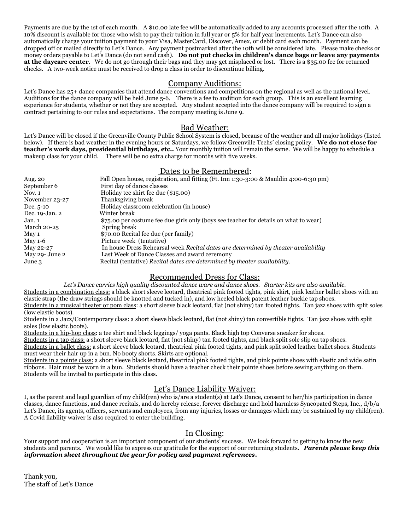Payments are due by the 1st of each month. A \$10.00 late fee will be automatically added to any accounts processed after the 10th. A 10% discount is available for those who wish to pay their tuition in full year or 5% for half year increments. Let's Dance can also automatically charge your tuition payment to your Visa, MasterCard, Discover, Amex, or debit card each month. Payment can be dropped off or mailed directly to Let's Dance. Any payment postmarked after the 10th will be considered late. Please make checks or money orders payable to Let's Dance (do not send cash). **Do not put checks in children's dance bags or leave any payments at the daycare center**. We do not go through their bags and they may get misplaced or lost. There is a \$35.00 fee for returned checks. A two-week notice must be received to drop a class in order to discontinue billing.

## Company Auditions:

Let's Dance has  $25+$  dance companies that attend dance conventions and competitions on the regional as well as the national level. Auditions for the dance company will be held June 5-6. There is a fee to audition for each group. This is an excellent learning experience for students, whether or not they are accepted. Any student accepted into the dance company will be required to sign a contract pertaining to our rules and expectations. The company meeting is June 9.

# Bad Weather:

Let's Dance will be closed if the Greenville County Public School System is closed, because of the weather and all major holidays (listed below). If there is bad weather in the evening hours or Saturdays, we follow Greenville Techs' closing policy. **We do not close for teacher's work days, presidential birthdays, etc..** Your monthly tuition will remain the same. We will be happy to schedule a makeup class for your child. There will be no extra charge for months with five weeks.

# Dates to be Remembered:

| Aug. 20        | Fall Open house, registration, and fitting (Ft. Inn 1:30-3:00 & Mauldin 4:00-6:30 pm) |
|----------------|---------------------------------------------------------------------------------------|
| September 6    | First day of dance classes                                                            |
| Now. 1         | Holiday tee shirt fee due (\$15.00)                                                   |
| November 23-27 | Thanksgiving break                                                                    |
| Dec. $5-10$    | Holiday classroom celebration (in house)                                              |
| Dec. 19-Jan. 2 | Winter break                                                                          |
| Jan. 1         | \$75.00 per costume fee due girls only (boys see teacher for details on what to wear) |
| March 20-25    | Spring break                                                                          |
| May 1          | \$70.00 Recital fee due (per family)                                                  |
| May $1-6$      | Picture week (tentative)                                                              |
| May 22-27      | In house Dress Rehearsal week Recital dates are determined by theater availability    |
| May 29- June 2 | Last Week of Dance Classes and award ceremony                                         |
| June 3         | Recital (tentative) Recital dates are determined by theater availability.             |

# Recommended Dress for Class:

Let's Dance carries high quality discounted dance ware and dance shoes. Starter kits are also available.

Students in a combination class: a black short sleeve leotard, theatrical pink footed tights, pink skirt, pink leather ballet shoes with an elastic strap (the draw strings should be knotted and tucked in), and low heeled black patent leather buckle tap shoes.

Students in a musical theater or pom class: a short sleeve black leotard, flat (not shiny) tan footed tights. Tan jazz shoes with split soles (low elastic boots).

Students in a Jazz/Contemporary class: a short sleeve black leotard, flat (not shiny) tan convertible tights. Tan jazz shoes with split soles (low elastic boots).

Students in a hip-hop class: a tee shirt and black leggings/ yoga pants. Black high top Converse sneaker for shoes.

Students in a tap class: a short sleeve black leotard, flat (not shiny) tan footed tights, and black split sole slip on tap shoes. Students in a ballet class: a short sleeve black leotard, theatrical pink footed tights, and pink split soled leather ballet shoes. Students must wear their hair up in a bun. No booty shorts. Skirts are optional.

Students in a pointe class: a short sleeve black leotard, theatrical pink footed tights, and pink pointe shoes with elastic and wide satin ribbons. Hair must be worn in a bun. Students should have a teacher check their pointe shoes before sewing anything on them. Students will be invited to participate in this class.

# Let's Dance Liability Waiver:

I, as the parent and legal guardian of my child(ren) who is/are a student(s) at Let's Dance, consent to her/his participation in dance classes, dance functions, and dance recitals, and do hereby release, forever discharge and hold harmless Syncopated Steps, Inc., d/b/a Let's Dance, its agents, officers, servants and employees, from any injuries, losses or damages which may be sustained by my child(ren). A Covid liability waiver is also required to enter the building.

# In Closing:

Your support and cooperation is an important component of our students' success. We look forward to getting to know the new students and parents. We would like to express our gratitude for the support of our returning students. *Parents please keep this information sheet throughout the year for policy and payment references***.**

Thank you, The staff of Let's Dance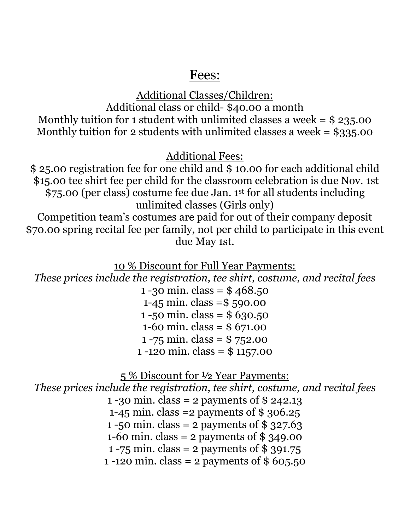# Fees:

Additional Classes/Children: Additional class or child- \$40.00 a month Monthly tuition for 1 student with unlimited classes a week  $=$  \$ 235.00 Monthly tuition for 2 students with unlimited classes a week  $=$  \$335.00

Additional Fees:

\$ 25.00 registration fee for one child and \$ 10.00 for each additional child \$15.00 tee shirt fee per child for the classroom celebration is due Nov. 1st \$75.00 (per class) costume fee due Jan. 1st for all students including unlimited classes (Girls only)

Competition team's costumes are paid for out of their company deposit \$70.00 spring recital fee per family, not per child to participate in this event due May 1st.

10 % Discount for Full Year Payments:

*These prices include the registration, tee shirt, costume, and recital fees*

1 -30 min. class =  $$468.50$ 1-45 min. class =\$ 590.00 1 -50 min. class =  $$630.50$ 1-60 min. class = \$ 671.00 1 -75 min. class = \$ 752.00 1 -120 min. class = \$ 1157.00

5 % Discount for ½ Year Payments:

*These prices include the registration, tee shirt, costume, and recital fees* 1 -30 min. class = 2 payments of \$ 242.13 1-45 min. class =2 payments of \$ 306.25 1 -50 min. class = 2 payments of \$ 327.63 1-60 min. class = 2 payments of \$ 349.00 1 -75 min. class = 2 payments of  $$391.75$ 1 -120 min. class = 2 payments of \$ 605.50